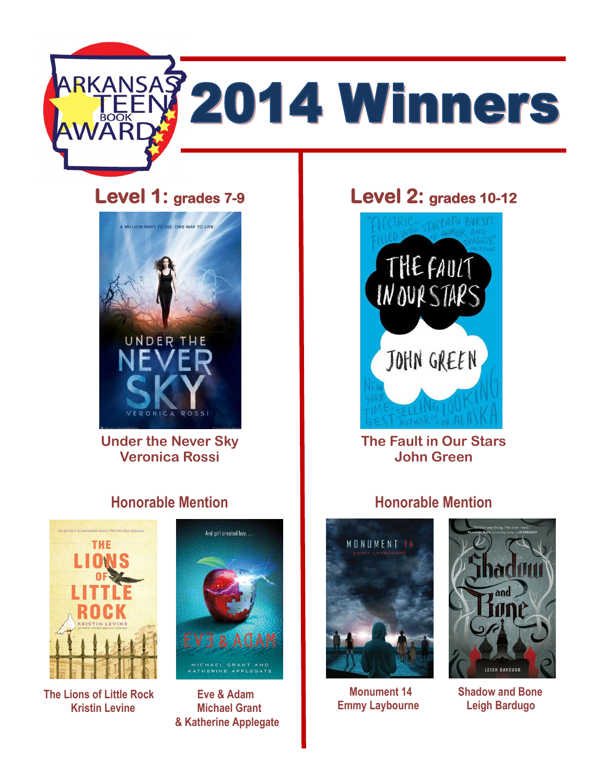

# **Level 1: grades 7-9**



**Under the Never Sky Veronica Rossi**

# **Honorable Mention**



**The Lions of Little Rock Eve & Adam Kristin Levine Michael Grant** 



 **& Katherine Applegate** 

# **Level 2: grades 10-12**



**The Fault in Our Stars John Green**

### **Honorable Mention**



 **Emmy Laybourne Leigh Bardugo** 



**Monument 14** Shadow and Bone